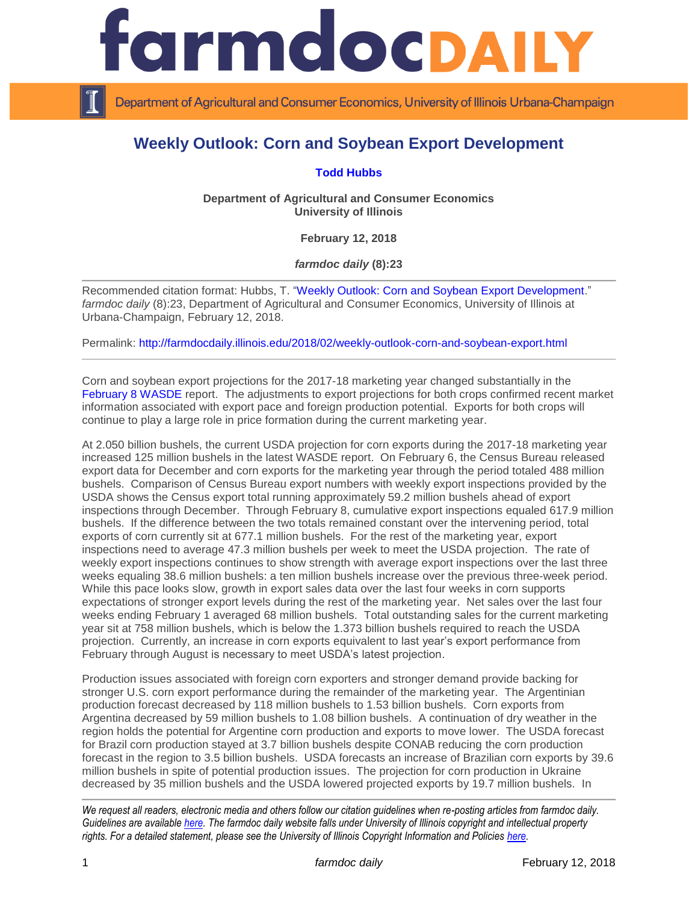

Department of Agricultural and Consumer Economics, University of Illinois Urbana-Champaign

## **Weekly Outlook: Corn and Soybean Export Development**

## **[Todd Hubbs](http://ace.illinois.edu/directory/jhubbs3)**

**Department of Agricultural and Consumer Economics University of Illinois**

**February 12, 2018**

*farmdoc daily* **(8):23**

Recommended citation format: Hubbs, T. ["Weekly Outlook: Corn and Soybean Export Development.](http://farmdocdaily.illinois.edu/2018/02/weekly-outlook-corn-and-soybean-export.html)" *farmdoc daily* (8):23, Department of Agricultural and Consumer Economics, University of Illinois at Urbana-Champaign, February 12, 2018.

Permalink:<http://farmdocdaily.illinois.edu/2018/02/weekly-outlook-corn-and-soybean-export.html>

Corn and soybean export projections for the 2017-18 marketing year changed substantially in the [February 8 WASDE](http://usda.mannlib.cornell.edu/usda/waob/wasde/2010s/2018/wasde-02-08-2018.pdf) report. The adjustments to export projections for both crops confirmed recent market information associated with export pace and foreign production potential. Exports for both crops will continue to play a large role in price formation during the current marketing year.

At 2.050 billion bushels, the current USDA projection for corn exports during the 2017-18 marketing year increased 125 million bushels in the latest WASDE report. On February 6, the Census Bureau released export data for December and corn exports for the marketing year through the period totaled 488 million bushels. Comparison of Census Bureau export numbers with weekly export inspections provided by the USDA shows the Census export total running approximately 59.2 million bushels ahead of export inspections through December. Through February 8, cumulative export inspections equaled 617.9 million bushels. If the difference between the two totals remained constant over the intervening period, total exports of corn currently sit at 677.1 million bushels. For the rest of the marketing year, export inspections need to average 47.3 million bushels per week to meet the USDA projection. The rate of weekly export inspections continues to show strength with average export inspections over the last three weeks equaling 38.6 million bushels: a ten million bushels increase over the previous three-week period. While this pace looks slow, growth in export sales data over the last four weeks in corn supports expectations of stronger export levels during the rest of the marketing year. Net sales over the last four weeks ending February 1 averaged 68 million bushels. Total outstanding sales for the current marketing year sit at 758 million bushels, which is below the 1.373 billion bushels required to reach the USDA projection. Currently, an increase in corn exports equivalent to last year's export performance from February through August is necessary to meet USDA's latest projection.

Production issues associated with foreign corn exporters and stronger demand provide backing for stronger U.S. corn export performance during the remainder of the marketing year. The Argentinian production forecast decreased by 118 million bushels to 1.53 billion bushels. Corn exports from Argentina decreased by 59 million bushels to 1.08 billion bushels. A continuation of dry weather in the region holds the potential for Argentine corn production and exports to move lower. The USDA forecast for Brazil corn production stayed at 3.7 billion bushels despite CONAB reducing the corn production forecast in the region to 3.5 billion bushels. USDA forecasts an increase of Brazilian corn exports by 39.6 million bushels in spite of potential production issues. The projection for corn production in Ukraine decreased by 35 million bushels and the USDA lowered projected exports by 19.7 million bushels. In

*We request all readers, electronic media and others follow our citation guidelines when re-posting articles from farmdoc daily. Guidelines are available [here.](http://farmdocdaily.illinois.edu/citationguide.html) The farmdoc daily website falls under University of Illinois copyright and intellectual property rights. For a detailed statement, please see the University of Illinois Copyright Information and Policies [here.](http://www.cio.illinois.edu/policies/copyright/)*